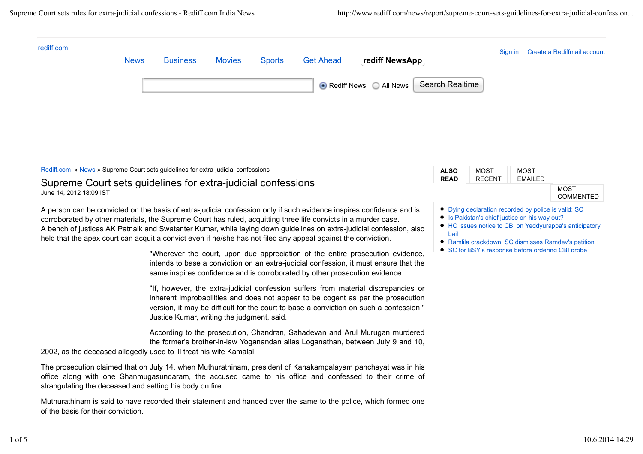